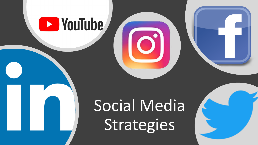# **B** YouTube

# Social Media Strategies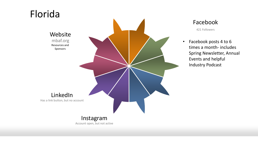

### Facebook

421 Followers

• Facebook posts 4 to 6 times a month- includes Spring Newsletter, Annual Events and helpful Industry Podcast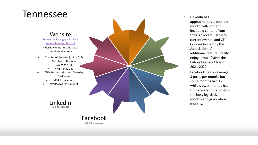### Tennessee

### Website

#### [Tennessee Mortgage Bankers](https://www.tnmba.org/)  Association (tnmba.org) Slideshow featuring photos of members at events

- Chapter of the Year (out of 5) & Member of the Year
	- Day of the Hill
	- NMBA Play Day
- TNMBA's Inclusion and Diversity Taskforce
	- MBA Installations
	- NMBA Awards Banquet



### Facebook **466 followers**

- LinkedIn has approximately 1 post per month with content including content from their Advocate Partners, current events, and CE Courses hosted by the Association. An additional feature I really enjoyed was "Meet the Future Leaders Class of 2021 -2022"
- Facebook has on average 3 posts per month, but some months had 12 while slower months had 1. There are more posts in the busy legislative months and graduation months.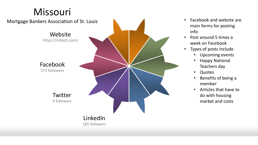## Missouri



- Facebook and website are main forms for posting info
- Post around 5 times a week on Facebook
- Types of posts include
	- Upcoming events
	- Happy National Teachers day
	- Quotes
	- Benefits of being a member
	- Articles that have to do with housing market and costs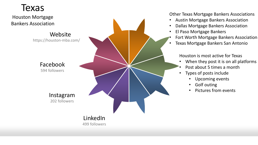### Texas

Houston Mortgage Bankers Association

> Website https://houston-mba.com/

> > Facebook 594 followers

> > > Instagram 202 followers

### LinkedIn 499 followers

Other Texas Mortgage Bankers Associations

- Austin Mortgage Bankers Association
- Dallas Mortgage Bankers Association
- El Paso Mortgage Bankers
- Fort Worth Mortgage Bankers Association
- Texas Mortgage Bankers San Antonio

Houston is most active for Texas

- When they post it is on all platforms
- Post about 5 times a month
- Types of posts include
	- Upcoming events
	- Golf outing
	- Pictures from events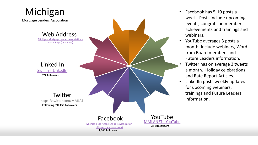

- Facebook has 5-10 posts a week. Posts include upcoming events, congrats on member achievements and trainings and webinars.
- YouTube averages 3 posts a month. Include webinars, Word from Board members and Future Leaders information.
- Twitter has on average 3 tweets a month. Holiday celebrations and Rate Report Articles.
- LinkedIn posts weekly updates for upcoming webinars, trainings and Future Leaders information.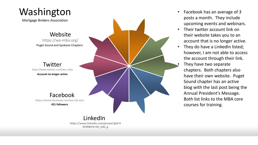# Washington

Mortgage Brokers Association

**Website** https://wa -mba.org/ Puget Sound and Spokane Chapters

Twitter http://www.twitter.com/wa\_mba **Account no longer active**

Facebook https://www.facebook.com/wa.mb.assn **451 followers**

### LinkedIn **https://www.linkedin.com/groups?gid=9 4246&trk=hb\_side\_g**

- Facebook has an average of 3 posts a month. They include upcoming events and webinars.
- Their twitter account link on their website takes you to an account that is no longer active.
- They do have a LinkedIn listed; however, I am not able to access the account through their link.
- They have two separate chapters. Both chapters also have their own website. Puget Sound chapter has an active blog with the last post being the Annual President's Message. Both list links to the MBA core courses for training.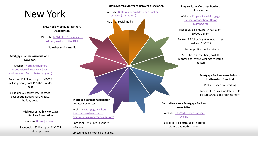### New York

**New York Mortgage Bankers Association**

Website: NYMBA – Your voice in [Albany and with the DFS](https://www.nymba.org/?_ga=2.86622481.824835170.1651673674-589166873.1647539458)

No other social media

**Mortgage Bankers Association of New York**

Website: Mortgage Bankers Association of New York | Just [another WordPress site \(mbany.org\)](https://www.mbany.org/)

Facebook 137 likes, last post 3/2022 back in person, post 11/2021 Holiday post

LinkedIn: 923 followers, repeated post about meeting for 2 weeks, holiday posts

> **Mid Hudson Valley Mortgage Bankers Association**

Website: [Home | mhvmba](https://www.mhvmba.org/?_ga=2.14273086.824835170.1651673674-589166873.1647539458)

Facebook: 187 likes, post 12/2021 diner pictures

#### **Buffalo Niagara Mortgage Bankers Association**

[Website: Buffalo Niagara Mortgage Bankers](https://bnmba.org/?_ga=2.39831850.824835170.1651673674-589166873.1647539458)  Association (bnmba.org) No other social media **Mortgage Bankers Association Greater Rochester** Website: Mortgage Bankers Association – Investing in [Communities \(mbarochester.com\)](https://mbarochester.com/)

Facebook: 389 likes, last post 12/2019

LinkedIn: could not find or pull up.

#### **Empire State Mortgage Bankers Association**

W[ebsite: Empire State Mortgage](https://esmba.org/?_ga=2.40247979.824835170.1651673674-589166873.1647539458) Bankers Association - Home (esmba.org)

Facebook: 58 likes, post 4/13 event, 10/2021 event

Twitter: 54 following, 9 followers, last post was 11/2017

LinkedIn: profile is not available

YouTube: 3 subscribers, post 10 months ago, event, year ago meeting posted

#### **Mortgage Bankers Association of Northeastern New York**

Website: page not working

Facebook: 31 likes, update profile picture 3/2016 and nothing more

**Central New York Mortgage Bankers Association**

Website: - [CNY Mortgage Bankers](http://www.cnymortgagebankers.com/)  Assoc.

Facebook: post 2018 update profile picture and nothing more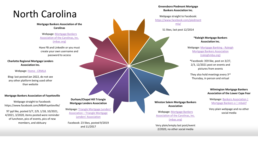## North Carolina

**Mortgage Bankers Association of the Carolinas** 

Webpage: Mortgage Bankers [Association of the Carolinas, Inc.](https://mbac.org/) (mbac.org)

Have FB and LinkedIn or you must create your own username and password to access

**Charlotte Regional Mortgage Lenders Association Inc.** 

#### Webpage: [Home -](https://crmla.org/) CRMLA

Blog: last posted Jan 2022, do not see any other platform being used other than website

#### **Mortgage Bankers Association of Fayetteville**

Webpage straight to Facebook: https://www.facebook.com/MBAFayetteville/

97 ppl like, posted 3/7, 2/9, 1/18, 10/2021, 4/2021, 3/2020, items posted were reminder of luncheon, pics of events, pics of new members, and obituary

**Durham/Chapel Hill Triangle Mortgage Lenders Association**

Webpage: [Triangle Mortgage Lenders'](https://trianglemortgagelenders.com/) Association – Triangle Mortgage Lenders' Association

Facebook: 23 likes, posted 9/2019 and 11/2017

**Greensboro Piedmont Mortgage Bankers Association Inc.** 

Webpage straight to Facebook: [https://www.facebook.com/piedmont](https://www.facebook.com/piedmontmla/) mla/

51 likes, last post 12/2014

#### **\*Raleigh Mortgage Bankers Association Inc.**

Webpage: Mortgage Banking - Raleigh [Mortgage Bankers Association](https://raleighmba.org/?_ga=2.109050507.861230252.1651503361-589166873.1647539458)  (raleighmba.org)

\*Facebook: 359 like, post on 3/27, 2/3, 12/2021 post on events and pictures from events

They also hold meetings every 3rd Thursday, in person and virtual

#### **Wilmington Mortgage Bankers Association of the Lower Cape Fear**

Webpage: Bankers Association | [Mortgage Bankers o | mbalcf](https://www.mbalcf.org/)

Very plain webpage and no other social media

**Winston Salem Mortgage Bankers Association**

Webpage: Mortgage Bankers [Association of the Carolinas, Inc.](https://mbac.org/events/EventDetails.aspx?id=1334421) (mbac.org)

Very plain/empty last post/event 2/2020, no other social media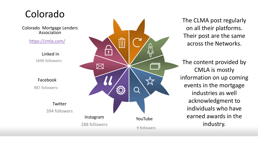### Colorado

Colorado Mortgage Lenders Association

<https://cmla.com/>

Linked In 1696 followers -

Facebook

987 followers -

**Twitter** 394 followers



The CLMA post regularly on all their platforms. Their post are the same across the Networks.

The content provided by CMLA is mostly information on up coming events in the mortgage industries as well acknowledgment to individuals who have earned awards in the industry.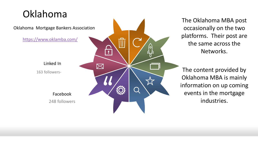# Oklahoma

Oklahoma Mortgage Bankers Association

<https://www.oklamba.com/>

Linked In 163 followers -

> Facebook 248 followers

 $\boxtimes$ 

 $\qquad \qquad \Box$ 

The Oklahoma MBA post occasionally on the two platforms. Their post are the same across the Networks.

The content provided by Oklahoma MBA is mainly information on up coming events in the mortgage industries.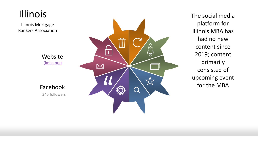

The social media platform for Illinois MBA has had no new content since 2019; content primarily consisted of upcoming event for the MBA